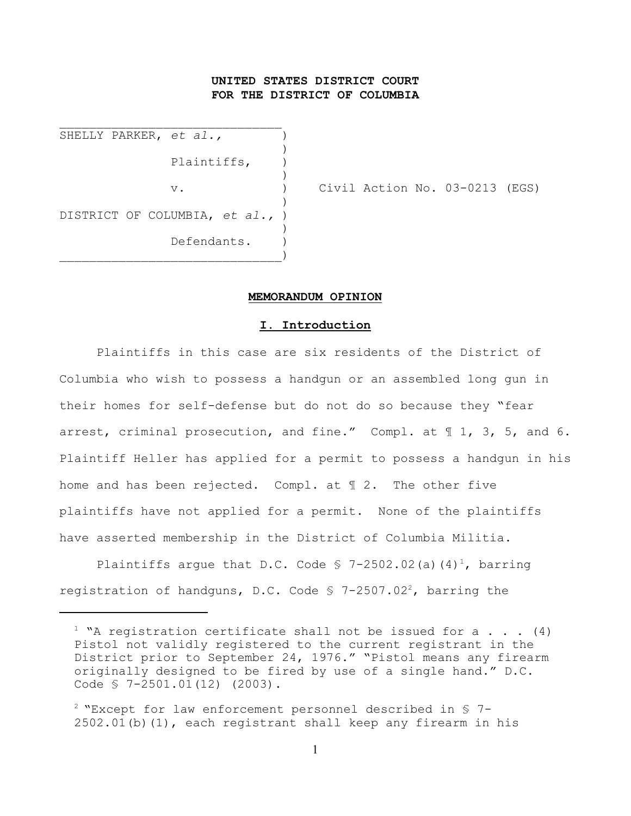# **UNITED STATES DISTRICT COURT FOR THE DISTRICT OF COLUMBIA**

SHELLY PARKER, et al., ) Plaintiffs,  $)$  $)$  $)$ DISTRICT OF COLUMBIA, *et al.,* ) ) Defendants. )  $)$ 

 $\mathcal{L}_\text{max}$ 

v. ) Civil Action No. 03-0213 (EGS)

#### **MEMORANDUM OPINION**

### **I. Introduction**

Plaintiffs in this case are six residents of the District of Columbia who wish to possess a handgun or an assembled long gun in their homes for self-defense but do not do so because they "fear arrest, criminal prosecution, and fine." Compl. at 1 1, 3, 5, and 6. Plaintiff Heller has applied for a permit to possess a handgun in his home and has been rejected. Compl. at ¶ 2. The other five plaintiffs have not applied for a permit. None of the plaintiffs have asserted membership in the District of Columbia Militia.

Plaintiffs argue that D.C. Code  $\frac{1}{5}$  7-2502.02(a)(4)<sup>1</sup>, barring registration of handguns, D.C. Code  $\frac{1}{2}$  7-2507.02<sup>2</sup>, barring the

<sup>&</sup>lt;sup>1</sup> "A registration certificate shall not be issued for a . . . (4) Pistol not validly registered to the current registrant in the District prior to September 24, 1976." "Pistol means any firearm originally designed to be fired by use of a single hand." D.C. Code § 7-2501.01(12) (2003).

 $2$  "Except for law enforcement personnel described in § 7-2502.01(b)(1), each registrant shall keep any firearm in his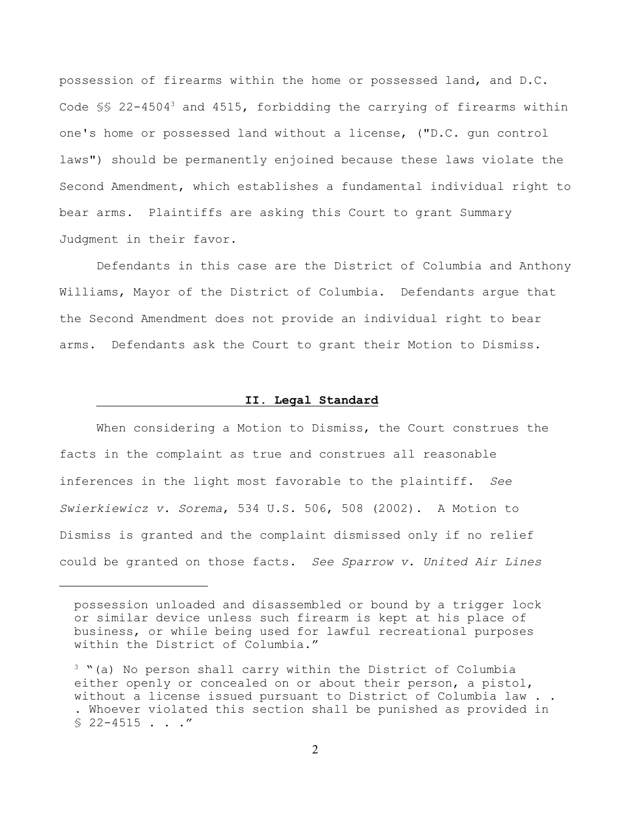possession of firearms within the home or possessed land, and D.C. Code §§ 22-4504<sup>3</sup> and 4515, forbidding the carrying of firearms within one's home or possessed land without a license, ("D.C. gun control laws") should be permanently enjoined because these laws violate the Second Amendment, which establishes a fundamental individual right to bear arms. Plaintiffs are asking this Court to grant Summary Judgment in their favor.

Defendants in this case are the District of Columbia and Anthony Williams, Mayor of the District of Columbia. Defendants argue that the Second Amendment does not provide an individual right to bear arms. Defendants ask the Court to grant their Motion to Dismiss.

### **II. Legal Standard**

When considering a Motion to Dismiss, the Court construes the facts in the complaint as true and construes all reasonable inferences in the light most favorable to the plaintiff. *See Swierkiewicz v. Sorema*, 534 U.S. 506, 508 (2002). A Motion to Dismiss is granted and the complaint dismissed only if no relief could be granted on those facts. *See Sparrow v. United Air Lines*

possession unloaded and disassembled or bound by a trigger lock or similar device unless such firearm is kept at his place of business, or while being used for lawful recreational purposes within the District of Columbia."

 $3$  "(a) No person shall carry within the District of Columbia either openly or concealed on or about their person, a pistol, without a license issued pursuant to District of Columbia law . . . Whoever violated this section shall be punished as provided in  $$22-4515$  . . ."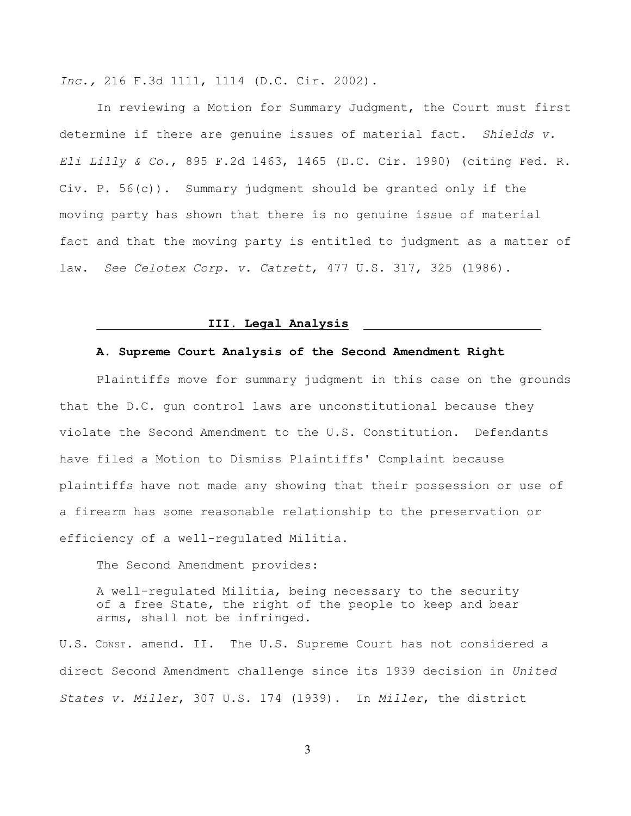*Inc.,* 216 F.3d 1111, 1114 (D.C. Cir. 2002).

In reviewing a Motion for Summary Judgment, the Court must first determine if there are genuine issues of material fact. *Shields v. Eli Lilly & Co.*, 895 F.2d 1463, 1465 (D.C. Cir. 1990) (citing Fed. R. Civ. P. 56(c)). Summary judgment should be granted only if the moving party has shown that there is no genuine issue of material fact and that the moving party is entitled to judgment as a matter of law. *See Celotex Corp. v. Catrett*, 477 U.S. 317, 325 (1986).

### **III. Legal Analysis**

# **A. Supreme Court Analysis of the Second Amendment Right**

Plaintiffs move for summary judgment in this case on the grounds that the D.C. gun control laws are unconstitutional because they violate the Second Amendment to the U.S. Constitution. Defendants have filed a Motion to Dismiss Plaintiffs' Complaint because plaintiffs have not made any showing that their possession or use of a firearm has some reasonable relationship to the preservation or efficiency of a well-regulated Militia.

The Second Amendment provides:

A well-regulated Militia, being necessary to the security of a free State, the right of the people to keep and bear arms, shall not be infringed.

U.S. CONST. amend. II. The U.S. Supreme Court has not considered a direct Second Amendment challenge since its 1939 decision in *United States v. Miller*, 307 U.S. 174 (1939). In *Miller*, the district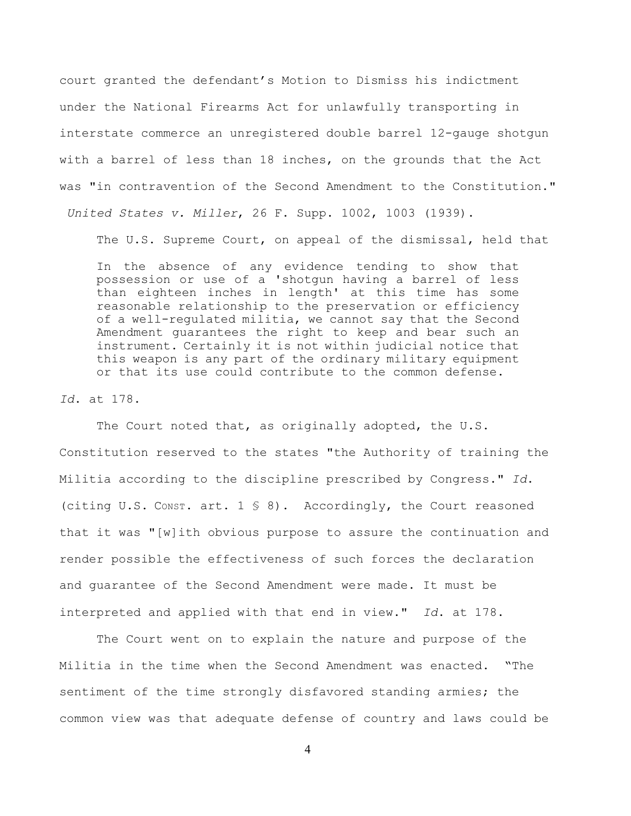court granted the defendant's Motion to Dismiss his indictment under the National Firearms Act for unlawfully transporting in interstate commerce an unregistered double barrel 12-gauge shotgun with a barrel of less than 18 inches, on the grounds that the Act was "in contravention of the Second Amendment to the Constitution."  *United States v. Miller*, 26 F. Supp. 1002, 1003 (1939).

The U.S. Supreme Court, on appeal of the dismissal, held that

In the absence of any evidence tending to show that possession or use of a 'shotgun having a barrel of less than eighteen inches in length' at this time has some reasonable relationship to the preservation or efficiency of a well-regulated militia, we cannot say that the Second Amendment guarantees the right to keep and bear such an instrument. Certainly it is not within judicial notice that this weapon is any part of the ordinary military equipment or that its use could contribute to the common defense.

### *Id*. at 178.

The Court noted that, as originally adopted, the U.S. Constitution reserved to the states "the Authority of training the Militia according to the discipline prescribed by Congress." *Id*. (citing U.S. Const. art.  $1 \text{ } \text{\$ } 8$ ). Accordingly, the Court reasoned that it was "[w]ith obvious purpose to assure the continuation and render possible the effectiveness of such forces the declaration and guarantee of the Second Amendment were made. It must be interpreted and applied with that end in view." *Id*. at 178.

The Court went on to explain the nature and purpose of the Militia in the time when the Second Amendment was enacted. "The sentiment of the time strongly disfavored standing armies; the common view was that adequate defense of country and laws could be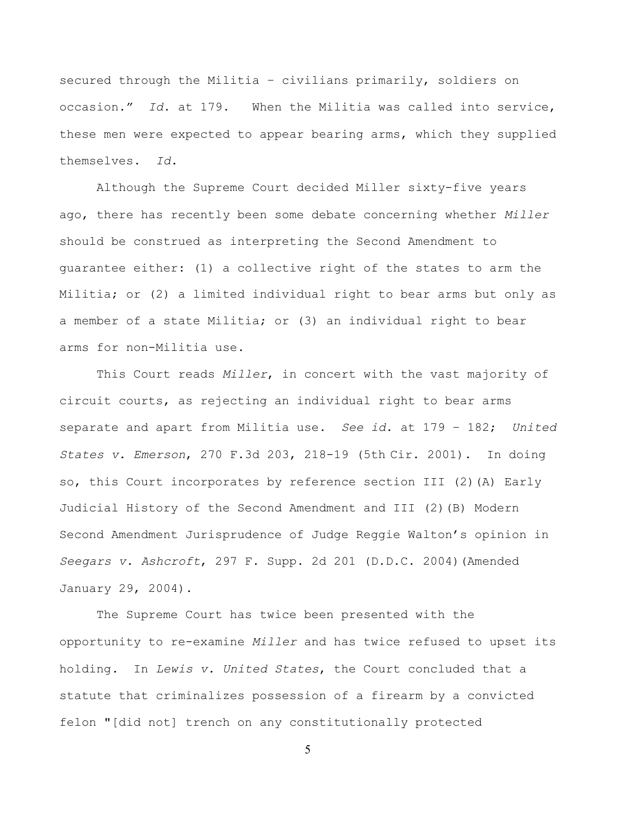secured through the Militia – civilians primarily, soldiers on occasion." *Id*. at 179. When the Militia was called into service, these men were expected to appear bearing arms, which they supplied themselves. *Id.*

Although the Supreme Court decided Miller sixty-five years ago, there has recently been some debate concerning whether *Miller* should be construed as interpreting the Second Amendment to guarantee either: (1) a collective right of the states to arm the Militia; or (2) a limited individual right to bear arms but only as a member of a state Militia; or (3) an individual right to bear arms for non-Militia use.

This Court reads *Miller*, in concert with the vast majority of circuit courts, as rejecting an individual right to bear arms separate and apart from Militia use. *See id*. at 179 – 182; *United States v. Emerson*, 270 F.3d 203, 218-19 (5th Cir. 2001). In doing so, this Court incorporates by reference section III (2)(A) Early Judicial History of the Second Amendment and III (2)(B) Modern Second Amendment Jurisprudence of Judge Reggie Walton's opinion in *Seegars v. Ashcroft*, 297 F. Supp. 2d 201 (D.D.C. 2004)(Amended January 29, 2004).

The Supreme Court has twice been presented with the opportunity to re-examine *Miller* and has twice refused to upset its holding*.* In *Lewis v. United States*, the Court concluded that a statute that criminalizes possession of a firearm by a convicted felon "[did not] trench on any constitutionally protected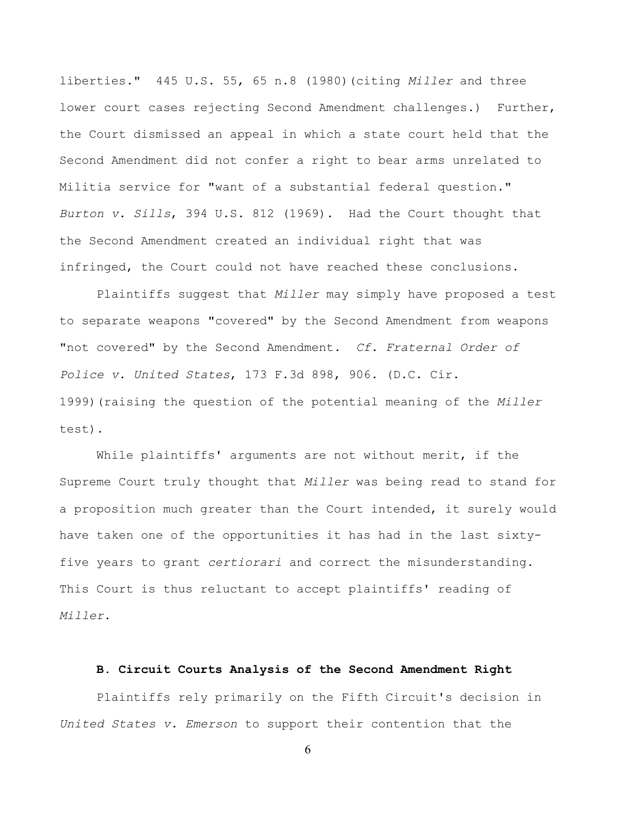liberties." 445 U.S. 55, 65 n.8 (1980)(citing *Miller* and three lower court cases rejecting Second Amendment challenges.) Further, the Court dismissed an appeal in which a state court held that the Second Amendment did not confer a right to bear arms unrelated to Militia service for "want of a substantial federal question." *Burton v. Sills*, 394 U.S. 812 (1969). Had the Court thought that the Second Amendment created an individual right that was infringed, the Court could not have reached these conclusions.

Plaintiffs suggest that *Miller* may simply have proposed a test to separate weapons "covered" by the Second Amendment from weapons "not covered" by the Second Amendment. *Cf. Fraternal Order of Police v. United States*, 173 F.3d 898, 906. (D.C. Cir. 1999)(raising the question of the potential meaning of the *Miller* test).

While plaintiffs' arguments are not without merit, if the Supreme Court truly thought that *Miller* was being read to stand for a proposition much greater than the Court intended, it surely would have taken one of the opportunities it has had in the last sixtyfive years to grant *certiorari* and correct the misunderstanding. This Court is thus reluctant to accept plaintiffs' reading of *Miller*.

### **B. Circuit Courts Analysis of the Second Amendment Right**

Plaintiffs rely primarily on the Fifth Circuit's decision in *United States v. Emerson* to support their contention that the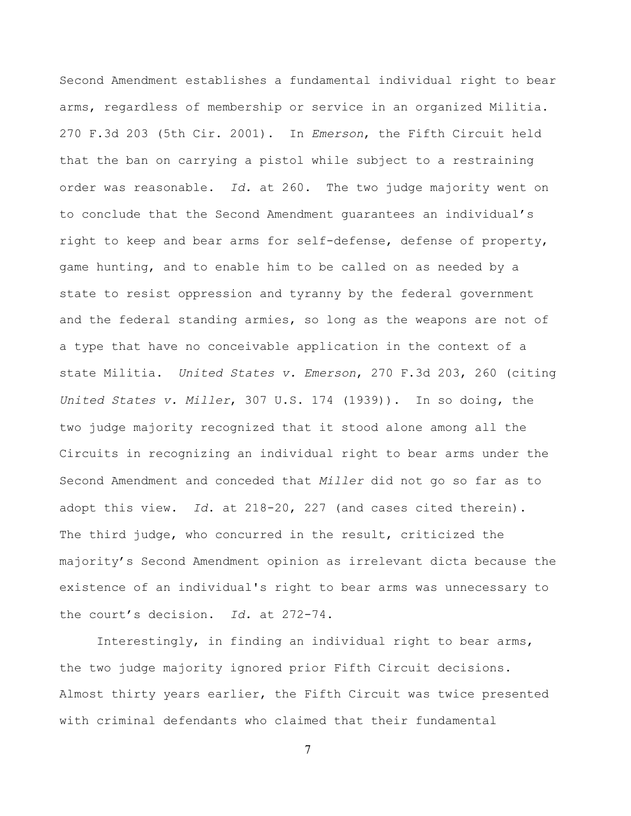Second Amendment establishes a fundamental individual right to bear arms, regardless of membership or service in an organized Militia. 270 F.3d 203 (5th Cir. 2001). In *Emerson*, the Fifth Circuit held that the ban on carrying a pistol while subject to a restraining order was reasonable. *Id.* at 260. The two judge majority went on to conclude that the Second Amendment guarantees an individual's right to keep and bear arms for self-defense, defense of property, game hunting, and to enable him to be called on as needed by a state to resist oppression and tyranny by the federal government and the federal standing armies, so long as the weapons are not of a type that have no conceivable application in the context of a state Militia. *United States v. Emerson*, 270 F.3d 203, 260 (citing *United States v. Miller*, 307 U.S. 174 (1939)). In so doing, the two judge majority recognized that it stood alone among all the Circuits in recognizing an individual right to bear arms under the Second Amendment and conceded that *Miller* did not go so far as to adopt this view. *Id*. at 218-20, 227 (and cases cited therein). The third judge, who concurred in the result, criticized the majority's Second Amendment opinion as irrelevant dicta because the existence of an individual's right to bear arms was unnecessary to the court's decision. *Id.* at 272-74.

Interestingly, in finding an individual right to bear arms, the two judge majority ignored prior Fifth Circuit decisions. Almost thirty years earlier, the Fifth Circuit was twice presented with criminal defendants who claimed that their fundamental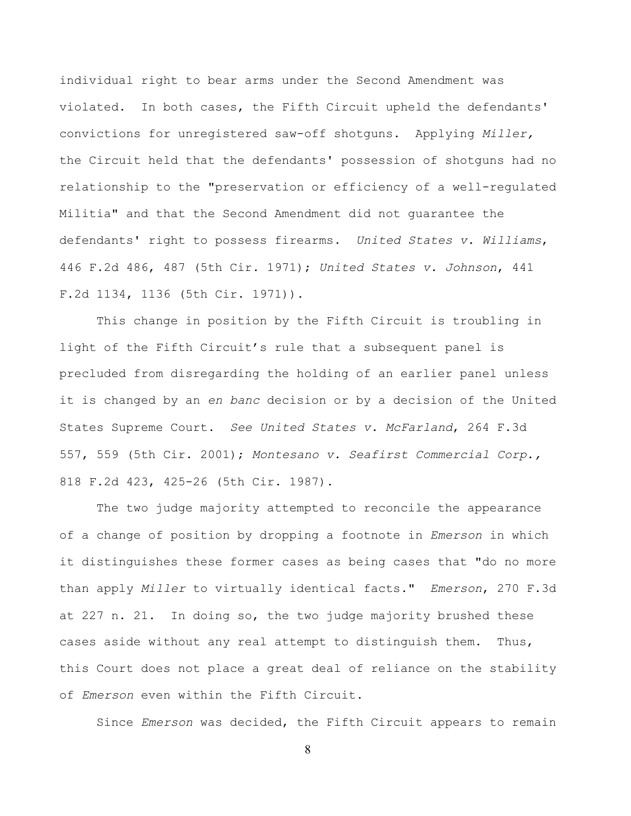individual right to bear arms under the Second Amendment was violated. In both cases, the Fifth Circuit upheld the defendants' convictions for unregistered saw-off shotguns. Applying *Miller,* the Circuit held that the defendants' possession of shotguns had no relationship to the "preservation or efficiency of a well-regulated Militia" and that the Second Amendment did not guarantee the defendants' right to possess firearms. *United States v. Williams*, 446 F.2d 486, 487 (5th Cir. 1971); *United States v. Johnson*, 441 F.2d 1134, 1136 (5th Cir. 1971)).

This change in position by the Fifth Circuit is troubling in light of the Fifth Circuit's rule that a subsequent panel is precluded from disregarding the holding of an earlier panel unless it is changed by an *en banc* decision or by a decision of the United States Supreme Court. *See United States v. McFarland*, 264 F.3d 557, 559 (5th Cir. 2001); *Montesano v. Seafirst Commercial Corp.,* 818 F.2d 423, 425-26 (5th Cir. 1987).

The two judge majority attempted to reconcile the appearance of a change of position by dropping a footnote in *Emerson* in which it distinguishes these former cases as being cases that "do no more than apply *Miller* to virtually identical facts." *Emerson*, 270 F.3d at 227 n. 21. In doing so, the two judge majority brushed these cases aside without any real attempt to distinguish them. Thus, this Court does not place a great deal of reliance on the stability of *Emerson* even within the Fifth Circuit.

Since *Emerson* was decided, the Fifth Circuit appears to remain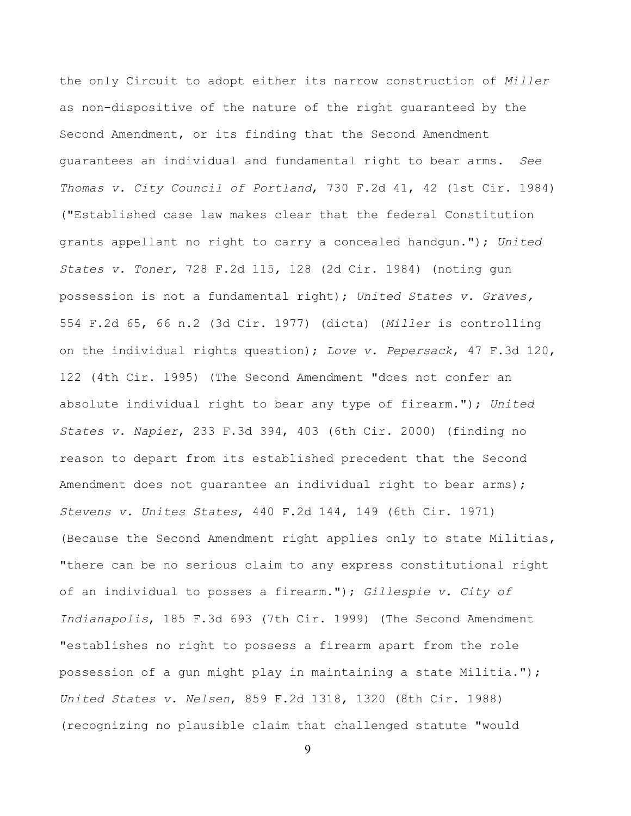the only Circuit to adopt either its narrow construction of *Miller* as non-dispositive of the nature of the right guaranteed by the Second Amendment, or its finding that the Second Amendment guarantees an individual and fundamental right to bear arms. *See Thomas v. City Council of Portland*, 730 F.2d 41, 42 (1st Cir. 1984) ("Established case law makes clear that the federal Constitution grants appellant no right to carry a concealed handgun."); *United States v. Toner,* 728 F.2d 115, 128 (2d Cir. 1984) (noting gun possession is not a fundamental right); *United States v. Graves,* 554 F.2d 65, 66 n.2 (3d Cir. 1977) (dicta) (*Miller* is controlling on the individual rights question); *Love v. Pepersack*, 47 F.3d 120, 122 (4th Cir. 1995) (The Second Amendment "does not confer an absolute individual right to bear any type of firearm."); *United States v. Napier*, 233 F.3d 394, 403 (6th Cir. 2000) (finding no reason to depart from its established precedent that the Second Amendment does not guarantee an individual right to bear arms); *Stevens v. Unites States*, 440 F.2d 144, 149 (6th Cir. 1971) (Because the Second Amendment right applies only to state Militias, "there can be no serious claim to any express constitutional right of an individual to posses a firearm."); *Gillespie v. City of Indianapolis*, 185 F.3d 693 (7th Cir. 1999) (The Second Amendment "establishes no right to possess a firearm apart from the role possession of a gun might play in maintaining a state Militia."); *United States v. Nelsen*, 859 F.2d 1318, 1320 (8th Cir. 1988) (recognizing no plausible claim that challenged statute "would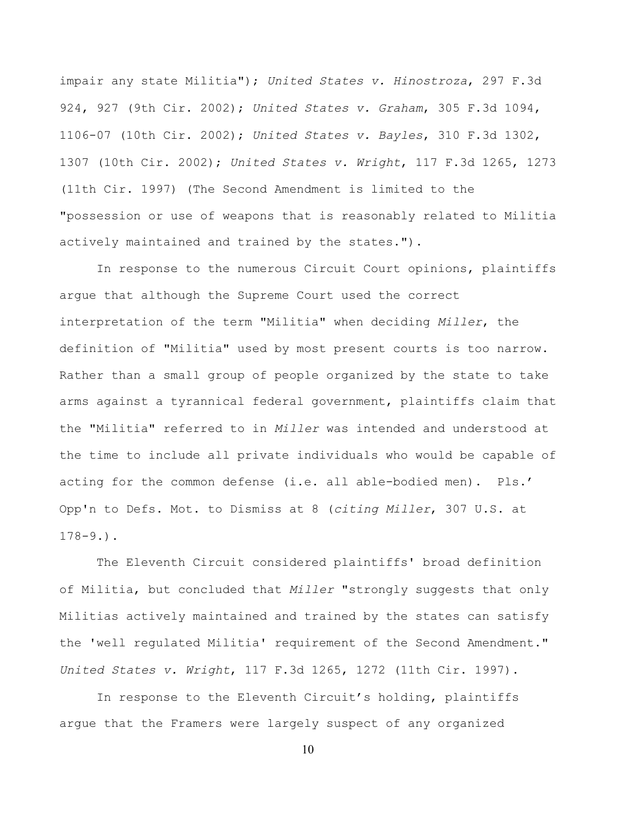impair any state Militia"); *United States v. Hinostroza*, 297 F.3d 924, 927 (9th Cir. 2002); *United States v. Graham*, 305 F.3d 1094, 1106-07 (10th Cir. 2002); *United States v. Bayles*, 310 F.3d 1302, 1307 (10th Cir. 2002); *United States v. Wright*, 117 F.3d 1265, 1273 (11th Cir. 1997) (The Second Amendment is limited to the "possession or use of weapons that is reasonably related to Militia actively maintained and trained by the states.").

In response to the numerous Circuit Court opinions, plaintiffs argue that although the Supreme Court used the correct interpretation of the term "Militia" when deciding *Miller*, the definition of "Militia" used by most present courts is too narrow. Rather than a small group of people organized by the state to take arms against a tyrannical federal government, plaintiffs claim that the "Militia" referred to in *Miller* was intended and understood at the time to include all private individuals who would be capable of acting for the common defense (i.e. all able-bodied men). Pls.' Opp'n to Defs. Mot. to Dismiss at 8 (*citing Miller*, 307 U.S. at 178-9.).

The Eleventh Circuit considered plaintiffs' broad definition of Militia, but concluded that *Miller* "strongly suggests that only Militias actively maintained and trained by the states can satisfy the 'well regulated Militia' requirement of the Second Amendment." *United States v. Wright*, 117 F.3d 1265, 1272 (11th Cir. 1997).

In response to the Eleventh Circuit's holding, plaintiffs argue that the Framers were largely suspect of any organized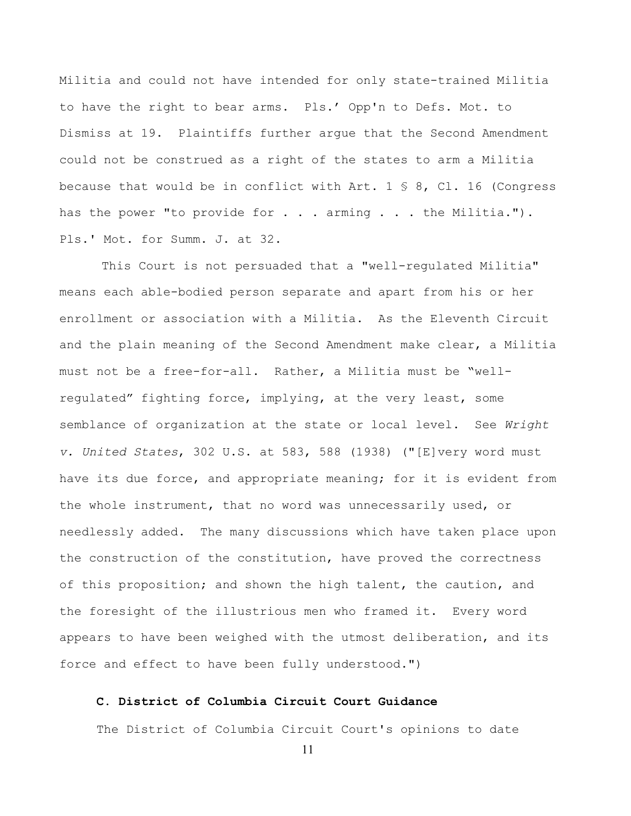Militia and could not have intended for only state-trained Militia to have the right to bear arms. Pls.' Opp'n to Defs. Mot. to Dismiss at 19. Plaintiffs further argue that the Second Amendment could not be construed as a right of the states to arm a Militia because that would be in conflict with Art.  $1 \text{ } \text{\$ } 8$ , Cl. 16 (Congress has the power "to provide for  $\ldots$  . arming  $\ldots$  . the Militia."). Pls.' Mot. for Summ. J. at 32.

 This Court is not persuaded that a "well-regulated Militia" means each able-bodied person separate and apart from his or her enrollment or association with a Militia. As the Eleventh Circuit and the plain meaning of the Second Amendment make clear, a Militia must not be a free-for-all. Rather, a Militia must be "wellregulated" fighting force, implying, at the very least, some semblance of organization at the state or local level. See *Wright v. United States*, 302 U.S. at 583, 588 (1938) ("[E]very word must have its due force, and appropriate meaning; for it is evident from the whole instrument, that no word was unnecessarily used, or needlessly added. The many discussions which have taken place upon the construction of the constitution, have proved the correctness of this proposition; and shown the high talent, the caution, and the foresight of the illustrious men who framed it. Every word appears to have been weighed with the utmost deliberation, and its force and effect to have been fully understood.")

## **C. District of Columbia Circuit Court Guidance**

The District of Columbia Circuit Court's opinions to date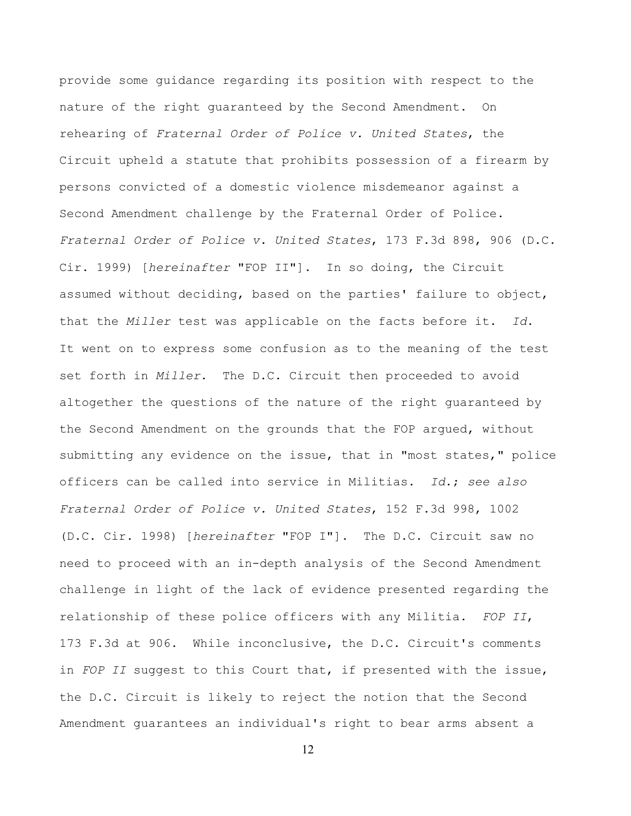provide some guidance regarding its position with respect to the nature of the right guaranteed by the Second Amendment. On rehearing of *Fraternal Order of Police v. United States*, the Circuit upheld a statute that prohibits possession of a firearm by persons convicted of a domestic violence misdemeanor against a Second Amendment challenge by the Fraternal Order of Police. *Fraternal Order of Police v. United States*, 173 F.3d 898, 906 (D.C. Cir. 1999) [*hereinafter* "FOP II"]. In so doing, the Circuit assumed without deciding, based on the parties' failure to object, that the *Miller* test was applicable on the facts before it. *Id*. It went on to express some confusion as to the meaning of the test set forth in *Miller*. The D.C. Circuit then proceeded to avoid altogether the questions of the nature of the right guaranteed by the Second Amendment on the grounds that the FOP argued, without submitting any evidence on the issue, that in "most states," police officers can be called into service in Militias. *Id*.; *see also Fraternal Order of Police v. United States*, 152 F.3d 998, 1002 (D.C. Cir. 1998) [*hereinafter* "FOP I"]. The D.C. Circuit saw no need to proceed with an in-depth analysis of the Second Amendment challenge in light of the lack of evidence presented regarding the relationship of these police officers with any Militia. *FOP II*, 173 F.3d at 906. While inconclusive, the D.C. Circuit's comments in *FOP II* suggest to this Court that, if presented with the issue, the D.C. Circuit is likely to reject the notion that the Second Amendment guarantees an individual's right to bear arms absent a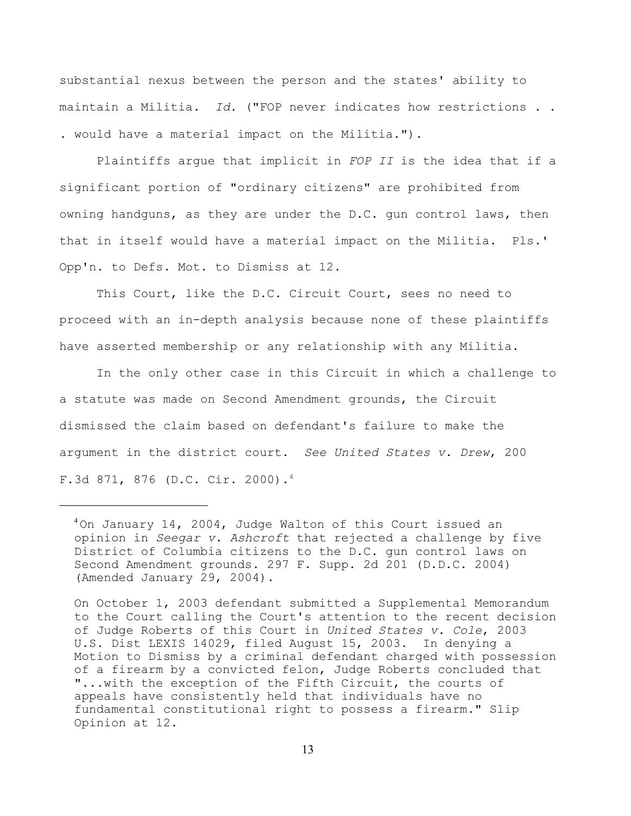substantial nexus between the person and the states' ability to maintain a Militia. *Id*. ("FOP never indicates how restrictions . . . would have a material impact on the Militia.").

Plaintiffs argue that implicit in *FOP II* is the idea that if a significant portion of "ordinary citizens" are prohibited from owning handguns, as they are under the D.C. gun control laws, then that in itself would have a material impact on the Militia. Pls.' Opp'n. to Defs. Mot. to Dismiss at 12.

This Court, like the D.C. Circuit Court, sees no need to proceed with an in-depth analysis because none of these plaintiffs have asserted membership or any relationship with any Militia.

In the only other case in this Circuit in which a challenge to a statute was made on Second Amendment grounds, the Circuit dismissed the claim based on defendant's failure to make the argument in the district court. *See United States v. Drew*, 200 F.3d 871, 876 (D.C. Cir. 2000).4

On October 1, 2003 defendant submitted a Supplemental Memorandum to the Court calling the Court's attention to the recent decision of Judge Roberts of this Court in *United States v. Cole*, 2003 U.S. Dist LEXIS 14029, filed August 15, 2003. In denying a Motion to Dismiss by a criminal defendant charged with possession of a firearm by a convicted felon, Judge Roberts concluded that "...with the exception of the Fifth Circuit, the courts of appeals have consistently held that individuals have no fundamental constitutional right to possess a firearm." Slip Opinion at 12.

 $^{4}$ On January 14, 2004, Judge Walton of this Court issued an opinion in *Seegar v. Ashcroft* that rejected a challenge by five District of Columbia citizens to the D.C. gun control laws on Second Amendment grounds. 297 F. Supp. 2d 201 (D.D.C. 2004) (Amended January 29, 2004).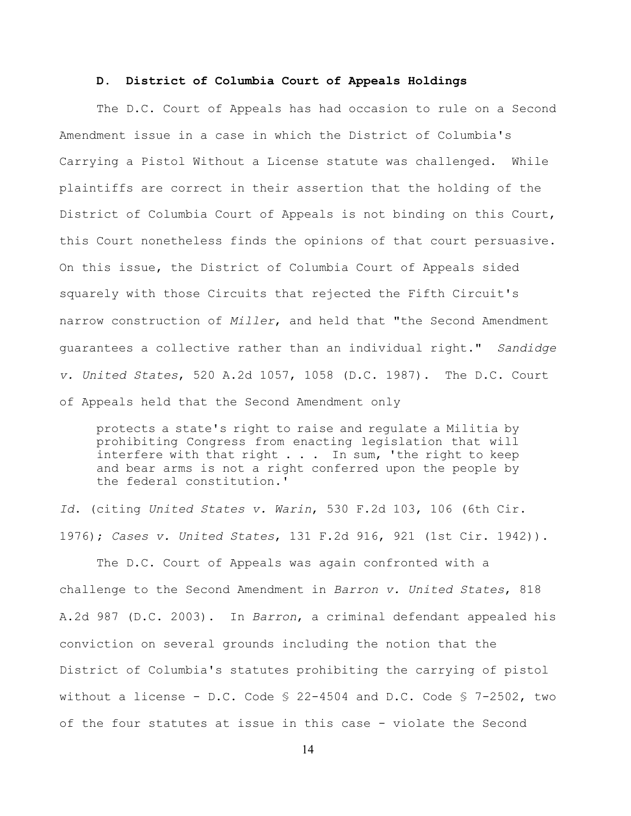### **D. District of Columbia Court of Appeals Holdings**

The D.C. Court of Appeals has had occasion to rule on a Second Amendment issue in a case in which the District of Columbia's Carrying a Pistol Without a License statute was challenged. While plaintiffs are correct in their assertion that the holding of the District of Columbia Court of Appeals is not binding on this Court, this Court nonetheless finds the opinions of that court persuasive. On this issue, the District of Columbia Court of Appeals sided squarely with those Circuits that rejected the Fifth Circuit's narrow construction of *Miller*, and held that "the Second Amendment guarantees a collective rather than an individual right." *Sandidge v. United States*, 520 A.2d 1057, 1058 (D.C. 1987). The D.C. Court of Appeals held that the Second Amendment only

protects a state's right to raise and regulate a Militia by prohibiting Congress from enacting legislation that will interfere with that right . . . In sum, 'the right to keep and bear arms is not a right conferred upon the people by the federal constitution.'

*Id*. (citing *United States v. Warin*, 530 F.2d 103, 106 (6th Cir. 1976); *Cases v. United States*, 131 F.2d 916, 921 (1st Cir. 1942)).

The D.C. Court of Appeals was again confronted with a challenge to the Second Amendment in *Barron v. United States*, 818 A.2d 987 (D.C. 2003). In *Barron*, a criminal defendant appealed his conviction on several grounds including the notion that the District of Columbia's statutes prohibiting the carrying of pistol without a license - D.C. Code § 22-4504 and D.C. Code § 7-2502, two of the four statutes at issue in this case - violate the Second